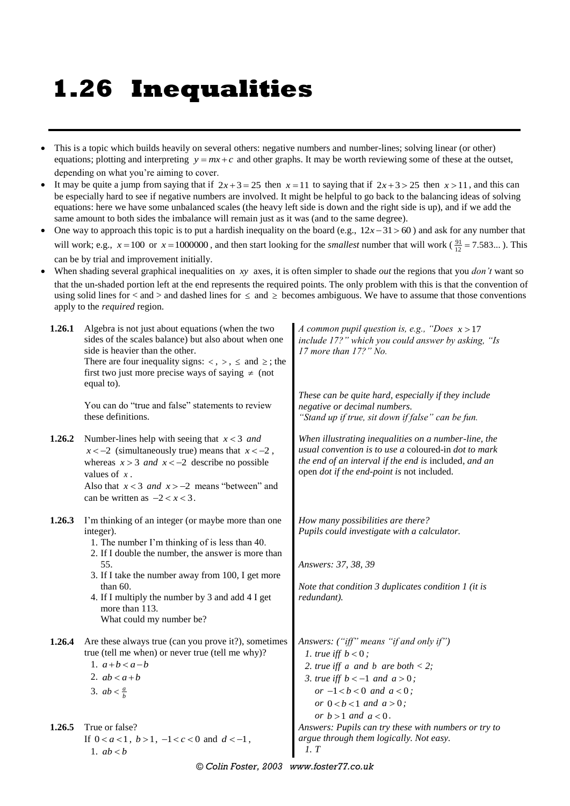## **1.26 Inequalities**

- This is a topic which builds heavily on several others: negative numbers and number-lines; solving linear (or other) equations; plotting and interpreting  $y = mx + c$  and other graphs. It may be worth reviewing some of these at the outset, depending on what you're aiming to cover.
- It may be quite a jump from saying that if  $2x+3=25$  then  $x=11$  to saying that if  $2x+3>25$  then  $x>11$ , and this can be especially hard to see if negative numbers are involved. It might be helpful to go back to the balancing ideas of solving equations: here we have some unbalanced scales (the heavy left side is down and the right side is up), and if we add the same amount to both sides the imbalance will remain just as it was (and to the same degree).
- One way to approach this topic is to put a hardish inequality on the board (e.g.,  $12x-31>60$ ) and ask for any number that will work; e.g.,  $x = 100$  or  $x = 1000000$ , and then start looking for the *smallest* number that will work ( $\frac{91}{12} = 7.583...$ ). This can be by trial and improvement initially.
- When shading several graphical inequalities on xy axes, it is often simpler to shade *out* the regions that you *don't* want so that the un-shaded portion left at the end represents the required points. The only problem with this is that the convention of using solid lines for  $\lt$  and  $\gt$  and dashed lines for  $\le$  and  $\ge$  becomes ambiguous. We have to assume that those conventions apply to the *required* region.

| 1.26.1 | Algebra is not just about equations (when the two<br>sides of the scales balance) but also about when one<br>side is heavier than the other.<br>There are four inequality signs: $\langle , \rangle$ , $\le$ and $\ge$ ; the<br>first two just more precise ways of saying $\neq$ (not<br>equal to).                                              | A common pupil question is, e.g., "Does $x > 17$<br>include 17?" which you could answer by asking, "Is<br>17 more than 17?" No.                                                                                     |  |  |
|--------|---------------------------------------------------------------------------------------------------------------------------------------------------------------------------------------------------------------------------------------------------------------------------------------------------------------------------------------------------|---------------------------------------------------------------------------------------------------------------------------------------------------------------------------------------------------------------------|--|--|
|        | You can do "true and false" statements to review<br>these definitions.                                                                                                                                                                                                                                                                            | These can be quite hard, especially if they include<br>negative or decimal numbers.<br>"Stand up if true, sit down if false" can be fun.                                                                            |  |  |
| 1.26.2 | Number-lines help with seeing that $x < 3$ and<br>$x < -2$ (simultaneously true) means that $x < -2$ ,<br>whereas $x > 3$ and $x < -2$ describe no possible<br>values of $x$ .<br>Also that $x < 3$ and $x > -2$ means "between" and<br>can be written as $-2 < x < 3$ .                                                                          | When illustrating inequalities on a number-line, the<br>usual convention is to use a coloured-in dot to mark<br>the end of an interval if the end is included, and an<br>open dot if the end-point is not included. |  |  |
| 1.26.3 | I'm thinking of an integer (or maybe more than one<br>integer).<br>1. The number I'm thinking of is less than 40.<br>2. If I double the number, the answer is more than<br>55.<br>3. If I take the number away from 100, I get more<br>than 60.<br>4. If I multiply the number by 3 and add 4 I get<br>more than 113.<br>What could my number be? | How many possibilities are there?<br>Pupils could investigate with a calculator.<br>Answers: 37, 38, 39<br>Note that condition $3$ duplicates condition $1$ (it is<br>redundant).                                   |  |  |
| 1.26.4 | Are these always true (can you prove it?), sometimes<br>true (tell me when) or never true (tell me why)?<br>1. $a+b < a-b$<br>2. $ab < a + b$<br>3. $ab < \frac{a}{b}$                                                                                                                                                                            | Answers: ("iff" means "if and only if")<br>1. true iff $b < 0$ ;<br>2. true iff a and b are both $< 2$ ;<br>3. true iff $b < -1$ and $a > 0$ ;<br>or $-1 < b < 0$ and $a < 0$ ;<br>or $0 < b < 1$ and $a > 0$ ;     |  |  |
| 1.26.5 | True or false?<br>If $0 < a < 1$ , $b > 1$ , $-1 < c < 0$ and $d < -1$ ,<br>1. $ab < b$                                                                                                                                                                                                                                                           | or $b > 1$ and $a < 0$ .<br>Answers: Pupils can try these with numbers or try to<br>argue through them logically. Not easy.<br>1. T                                                                                 |  |  |